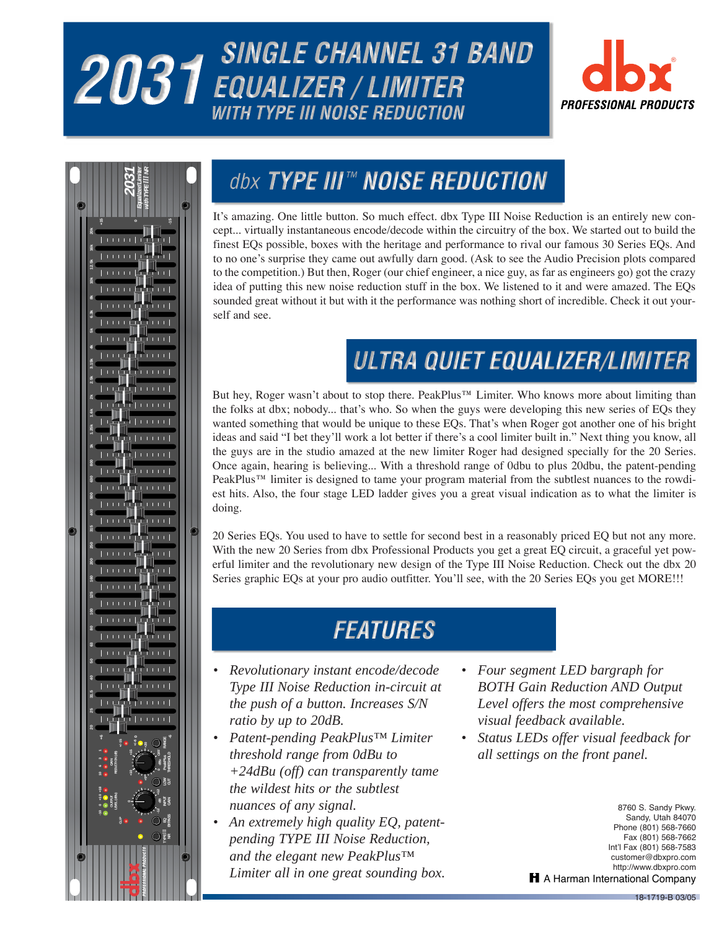# 2031 SINGLE CHANNEL 31 BAND *WITH TYPE III NOISE REDUCTION*





## dbx TYPE III™ NOISE REDUCTION

It's amazing. One little button. So much effect. dbx Type III Noise Reduction is an entirely new concept... virtually instantaneous encode/decode within the circuitry of the box. We started out to build the finest EQs possible, boxes with the heritage and performance to rival our famous 30 Series EQs. And to no one's surprise they came out awfully darn good. (Ask to see the Audio Precision plots compared to the competition.) But then, Roger (our chief engineer, a nice guy, as far as engineers go) got the crazy idea of putting this new noise reduction stuff in the box. We listened to it and were amazed. The EQs sounded great without it but with it the performance was nothing short of incredible. Check it out yourself and see.

# ULTRA QUIET EQUALIZER/LIMITER

But hey, Roger wasn't about to stop there. PeakPlus™ Limiter. Who knows more about limiting than the folks at dbx; nobody... that's who. So when the guys were developing this new series of EQs they wanted something that would be unique to these EQs. That's when Roger got another one of his bright ideas and said "I bet they'll work a lot better if there's a cool limiter built in." Next thing you know, all the guys are in the studio amazed at the new limiter Roger had designed specially for the 20 Series. Once again, hearing is believing... With a threshold range of 0dbu to plus 20dbu, the patent-pending PeakPlus™ limiter is designed to tame your program material from the subtlest nuances to the rowdiest hits. Also, the four stage LED ladder gives you a great visual indication as to what the limiter is doing.

20 Series EQs. You used to have to settle for second best in a reasonably priced EQ but not any more. With the new 20 Series from dbx Professional Products you get a great EQ circuit, a graceful yet powerful limiter and the revolutionary new design of the Type III Noise Reduction. Check out the dbx 20 Series graphic EQs at your pro audio outfitter. You'll see, with the 20 Series EQs you get MORE!!!

### **FEATURES**

- *Revolutionary instant encode/decode Type III Noise Reduction in-circuit at the push of a button. Increases S/N ratio by up to 20dB.*
- *Patent-pending PeakPlus™ Limiter threshold range from 0dBu to +24dBu (off) can transparently tame the wildest hits or the subtlest nuances of any signal.*
- *An extremely high quality EQ, patentpending TYPE III Noise Reduction, and the elegant new PeakPlus™ Limiter all in one great sounding box.*
- *Four segment LED bargraph for BOTH Gain Reduction AND Output Level offers the most comprehensive visual feedback available.*
- *Status LEDs offer visual feedback for all settings on the front panel.*

**160SLStereo Compresssor /** 8760 S. Sandy Pkwy. Sandy, Utah 84070 Phone (801) 568-7660 Fax (801) 568-7662 Int'l Fax (801) 568-7583 customer@dbxpro.com http://www.dbxpro.com H A Harman International Company

18-1719-B 03/05